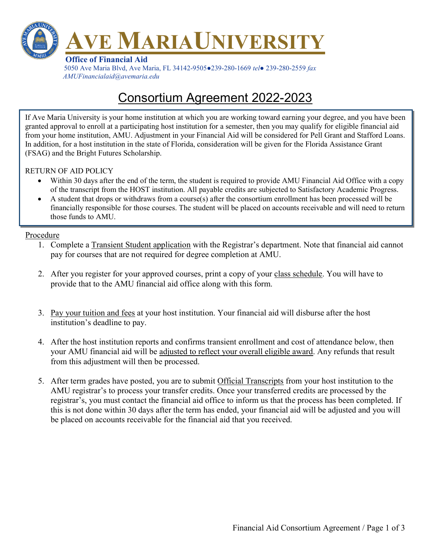

 5050 Ave Maria Blvd, Ave Maria, FL 34142-9505●239-280-1669 tel● 239-280-2559 fax AMUFinancialaid@avemaria.edu

# Consortium Agreement 2022-2023

If Ave Maria University is your home institution at which you are working toward earning your degree, and you have been granted approval to enroll at a participating host institution for a semester, then you may qualify for eligible financial aid from your home institution, AMU. Adjustment in your Financial Aid will be considered for Pell Grant and Stafford Loans. In addition, for a host institution in the state of Florida, consideration will be given for the Florida Assistance Grant (FSAG) and the Bright Futures Scholarship.

### RETURN OF AID POLICY

- Within 30 days after the end of the term, the student is required to provide AMU Financial Aid Office with a copy of the transcript from the HOST institution. All payable credits are subjected to Satisfactory Academic Progress.
- A student that drops or withdraws from a course(s) after the consortium enrollment has been processed will be financially responsible for those courses. The student will be placed on accounts receivable and will need to return those funds to AMU.

### Procedure

- 1. Complete a Transient Student application with the Registrar's department. Note that financial aid cannot pay for courses that are not required for degree completion at AMU.
- 2. After you register for your approved courses, print a copy of your class schedule. You will have to provide that to the AMU financial aid office along with this form.
- 3. Pay your tuition and fees at your host institution. Your financial aid will disburse after the host institution's deadline to pay.
- 4. After the host institution reports and confirms transient enrollment and cost of attendance below, then your AMU financial aid will be adjusted to reflect your overall eligible award. Any refunds that result from this adjustment will then be processed.
- 5. After term grades have posted, you are to submit Official Transcripts from your host institution to the AMU registrar's to process your transfer credits. Once your transferred credits are processed by the registrar's, you must contact the financial aid office to inform us that the process has been completed. If this is not done within 30 days after the term has ended, your financial aid will be adjusted and you will be placed on accounts receivable for the financial aid that you received.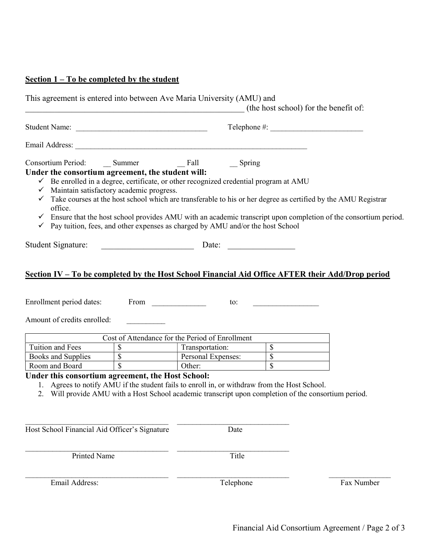## Section 1 – To be completed by the student

| This agreement is entered into between Ave Maria University (AMU) and                                                                                                                                                                                                                                       |                          |                    |       | (the host school) for the benefit of:                                                                                                                                                                                                                     |
|-------------------------------------------------------------------------------------------------------------------------------------------------------------------------------------------------------------------------------------------------------------------------------------------------------------|--------------------------|--------------------|-------|-----------------------------------------------------------------------------------------------------------------------------------------------------------------------------------------------------------------------------------------------------------|
| Student Name:                                                                                                                                                                                                                                                                                               |                          |                    |       |                                                                                                                                                                                                                                                           |
|                                                                                                                                                                                                                                                                                                             |                          |                    |       |                                                                                                                                                                                                                                                           |
| Under the consortium agreement, the student will:<br>Be enrolled in a degree, certificate, or other recognized credential program at AMU<br>$\checkmark$ Maintain satisfactory academic progress.<br>office.<br>$\checkmark$ Pay tuition, fees, and other expenses as charged by AMU and/or the host School |                          |                    |       | $\checkmark$ Take courses at the host school which are transferable to his or her degree as certified by the AMU Registrar<br>$\checkmark$ Ensure that the host school provides AMU with an academic transcript upon completion of the consortium period. |
| Student Signature:                                                                                                                                                                                                                                                                                          | Date:                    |                    |       |                                                                                                                                                                                                                                                           |
| Enrollment period dates:<br>Amount of credits enrolled:                                                                                                                                                                                                                                                     | From                     |                    | to:   | Section IV – To be completed by the Host School Financial Aid Office AFTER their Add/Drop period                                                                                                                                                          |
| Cost of Attendance for the Period of Enrollment                                                                                                                                                                                                                                                             |                          |                    |       |                                                                                                                                                                                                                                                           |
| Tuition and Fees                                                                                                                                                                                                                                                                                            | $\overline{\text{S}}$    | Transportation:    |       | $\overline{\$}$ $\qquad$                                                                                                                                                                                                                                  |
| Books and Supplies                                                                                                                                                                                                                                                                                          | $\sqrt{s}$               | Personal Expenses: |       | $\overline{\mathcal{S}}$                                                                                                                                                                                                                                  |
| Room and Board                                                                                                                                                                                                                                                                                              | $\overline{\mathcal{S}}$ | Other:             |       | $\overline{\mathcal{S}}$                                                                                                                                                                                                                                  |
| Under this consortium agreement, the Host School:<br>1. Agrees to notify AMU if the student fails to enroll in, or withdraw from the Host School.                                                                                                                                                           |                          |                    |       | 2. Will provide AMU with a Host School academic transcript upon completion of the consortium period.                                                                                                                                                      |
| Host School Financial Aid Officer's Signature                                                                                                                                                                                                                                                               |                          | Date               |       |                                                                                                                                                                                                                                                           |
| <b>Printed Name</b>                                                                                                                                                                                                                                                                                         |                          |                    | Title |                                                                                                                                                                                                                                                           |

Email Address: Telephone Fax Number